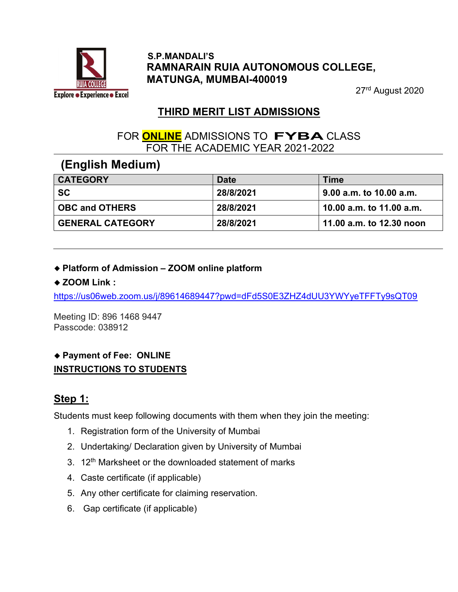

### S.P.MANDALI'S RAMNARAIN RUIA AUTONOMOUS COLLEGE, MATUNGA, MUMBAI-400019

27rd August 2020

# THIRD MERIT LIST ADMISSIONS

### FOR **ONLINE** ADMISSIONS TO FYBA CLASS FOR THE ACADEMIC YEAR 2021-2022

# (English Medium)

| <b>CATEGORY</b>         | <b>Date</b> | Time                     |
|-------------------------|-------------|--------------------------|
| <b>SC</b>               | 28/8/2021   | 9.00 a.m. to 10.00 a.m.  |
| <b>OBC and OTHERS</b>   | 28/8/2021   | 10.00 a.m. to 11.00 a.m. |
| <b>GENERAL CATEGORY</b> | 28/8/2021   | 11.00 a.m. to 12.30 noon |

### Platform of Admission – ZOOM online platform

### ◆ ZOOM Link :

https://us06web.zoom.us/j/89614689447?pwd=dFd5S0E3ZHZ4dUU3YWYyeTFFTy9sQT09

Meeting ID: 896 1468 9447 Passcode: 038912

### Payment of Fee: ONLINE INSTRUCTIONS TO STUDENTS

# Step 1:

Students must keep following documents with them when they join the meeting:

- 1. Registration form of the University of Mumbai
- 2. Undertaking/ Declaration given by University of Mumbai
- 3. 12<sup>th</sup> Marksheet or the downloaded statement of marks
- 4. Caste certificate (if applicable)
- 5. Any other certificate for claiming reservation.
- 6. Gap certificate (if applicable)